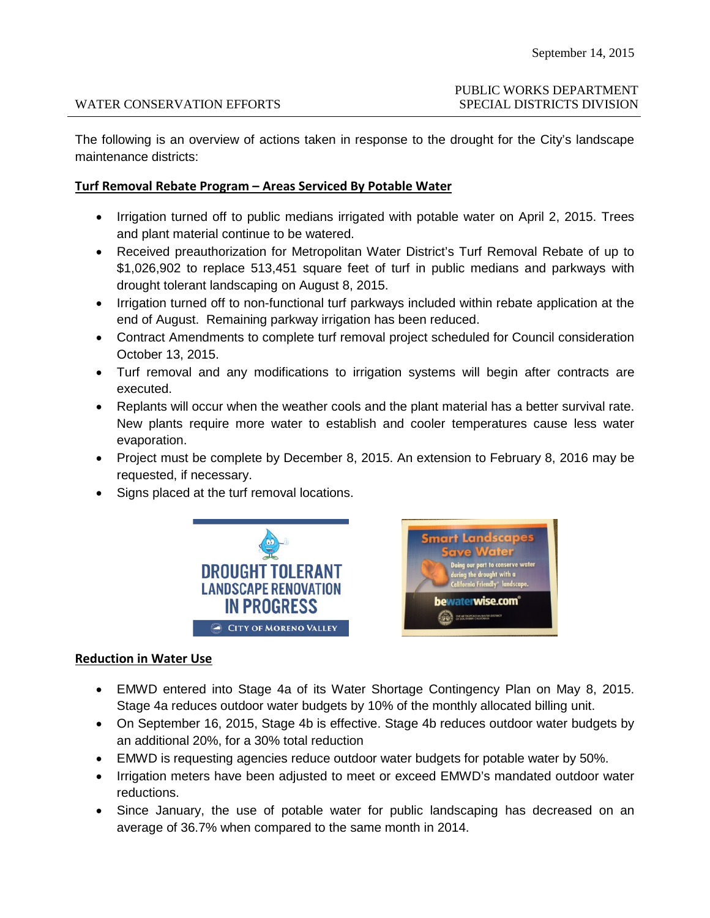The following is an overview of actions taken in response to the drought for the City's landscape maintenance districts:

## **Turf Removal Rebate Program – Areas Serviced By Potable Water**

- Irrigation turned off to public medians irrigated with potable water on April 2, 2015. Trees and plant material continue to be watered.
- Received preauthorization for Metropolitan Water District's Turf Removal Rebate of up to \$1,026,902 to replace 513,451 square feet of turf in public medians and parkways with drought tolerant landscaping on August 8, 2015.
- Irrigation turned off to non-functional turf parkways included within rebate application at the end of August. Remaining parkway irrigation has been reduced.
- Contract Amendments to complete turf removal project scheduled for Council consideration October 13, 2015.
- Turf removal and any modifications to irrigation systems will begin after contracts are executed.
- Replants will occur when the weather cools and the plant material has a better survival rate. New plants require more water to establish and cooler temperatures cause less water evaporation.
- Project must be complete by December 8, 2015. An extension to February 8, 2016 may be requested, if necessary.
- Signs placed at the turf removal locations.





## **Reduction in Water Use**

- EMWD entered into Stage 4a of its Water Shortage Contingency Plan on May 8, 2015. Stage 4a reduces outdoor water budgets by 10% of the monthly allocated billing unit.
- On September 16, 2015, Stage 4b is effective. Stage 4b reduces outdoor water budgets by an additional 20%, for a 30% total reduction
- EMWD is requesting agencies reduce outdoor water budgets for potable water by 50%.
- Irrigation meters have been adjusted to meet or exceed EMWD's mandated outdoor water reductions.
- Since January, the use of potable water for public landscaping has decreased on an average of 36.7% when compared to the same month in 2014.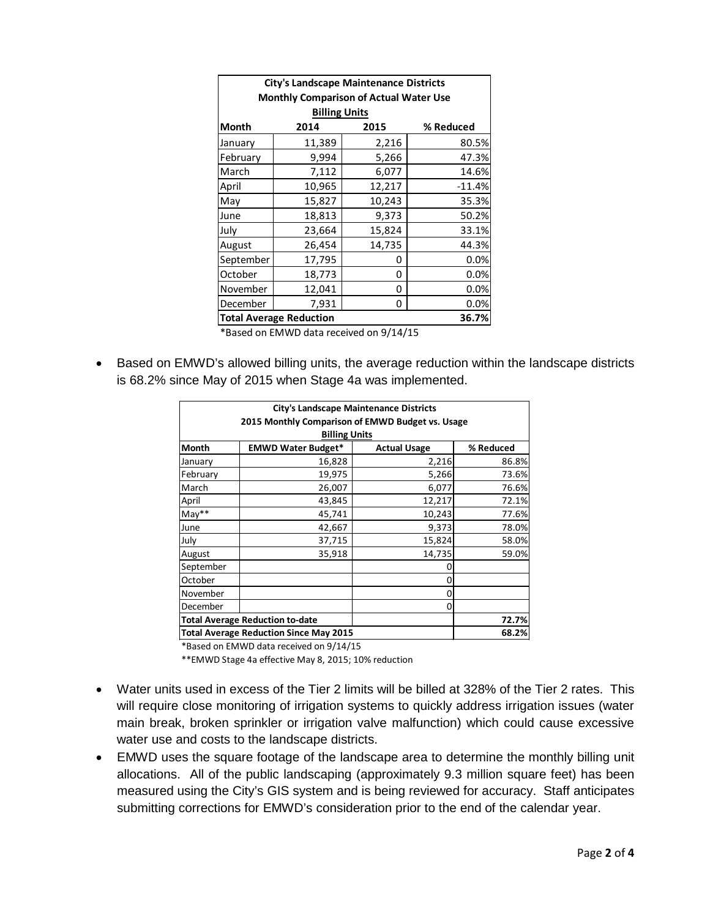| City's Landscape Maintenance Districts        |        |        |           |  |  |
|-----------------------------------------------|--------|--------|-----------|--|--|
| <b>Monthly Comparison of Actual Water Use</b> |        |        |           |  |  |
| <b>Billing Units</b>                          |        |        |           |  |  |
| Month                                         | 2014   | 2015   | % Reduced |  |  |
| January                                       | 11,389 | 2,216  | 80.5%     |  |  |
| February                                      | 9,994  | 5,266  | 47.3%     |  |  |
| March                                         | 7,112  | 6,077  | 14.6%     |  |  |
| April                                         | 10,965 | 12,217 | $-11.4%$  |  |  |
| May                                           | 15,827 | 10,243 | 35.3%     |  |  |
| June                                          | 18,813 | 9,373  | 50.2%     |  |  |
| July                                          | 23,664 | 15,824 | 33.1%     |  |  |
| August                                        | 26,454 | 14,735 | 44.3%     |  |  |
| September                                     | 17,795 | 0      | 0.0%      |  |  |
| October                                       | 18,773 | 0      | 0.0%      |  |  |
| November                                      | 12,041 | 0      | 0.0%      |  |  |
| December                                      | 7,931  | 0      | 0.0%      |  |  |
| <b>Total Average Reduction</b><br>36.7%       |        |        |           |  |  |

\*Based on EMWD data received on 9/14/15

• Based on EMWD's allowed billing units, the average reduction within the landscape districts is 68.2% since May of 2015 when Stage 4a was implemented.

| City's Landscape Maintenance Districts           |                           |                     |           |  |  |  |
|--------------------------------------------------|---------------------------|---------------------|-----------|--|--|--|
| 2015 Monthly Comparison of EMWD Budget vs. Usage |                           |                     |           |  |  |  |
| <b>Billing Units</b>                             |                           |                     |           |  |  |  |
| <b>Month</b>                                     | <b>EMWD Water Budget*</b> | <b>Actual Usage</b> | % Reduced |  |  |  |
| January                                          | 16,828                    | 2,216               | 86.8%     |  |  |  |
| February                                         | 19,975                    | 5,266               | 73.6%     |  |  |  |
| March                                            | 26,007                    | 6,077               | 76.6%     |  |  |  |
| April                                            | 43,845                    | 12,217              | 72.1%     |  |  |  |
| May**                                            | 45,741                    | 10,243              | 77.6%     |  |  |  |
| June                                             | 42,667                    | 9,373               | 78.0%     |  |  |  |
| July                                             | 37,715                    | 15,824              | 58.0%     |  |  |  |
| August                                           | 35,918                    | 14,735              | 59.0%     |  |  |  |
| September                                        |                           | 0                   |           |  |  |  |
| October                                          |                           | 0                   |           |  |  |  |
| November                                         |                           | O                   |           |  |  |  |
| December                                         |                           | 0                   |           |  |  |  |
| <b>Total Average Reduction to-date</b>           | 72.7%                     |                     |           |  |  |  |
| <b>Total Average Reduction Since May 2015</b>    | 68.2%                     |                     |           |  |  |  |

\*Based on EMWD data received on 9/14/15

\*\*EMWD Stage 4a effective May 8, 2015; 10% reduction

- Water units used in excess of the Tier 2 limits will be billed at 328% of the Tier 2 rates. This will require close monitoring of irrigation systems to quickly address irrigation issues (water main break, broken sprinkler or irrigation valve malfunction) which could cause excessive water use and costs to the landscape districts.
- EMWD uses the square footage of the landscape area to determine the monthly billing unit allocations. All of the public landscaping (approximately 9.3 million square feet) has been measured using the City's GIS system and is being reviewed for accuracy. Staff anticipates submitting corrections for EMWD's consideration prior to the end of the calendar year.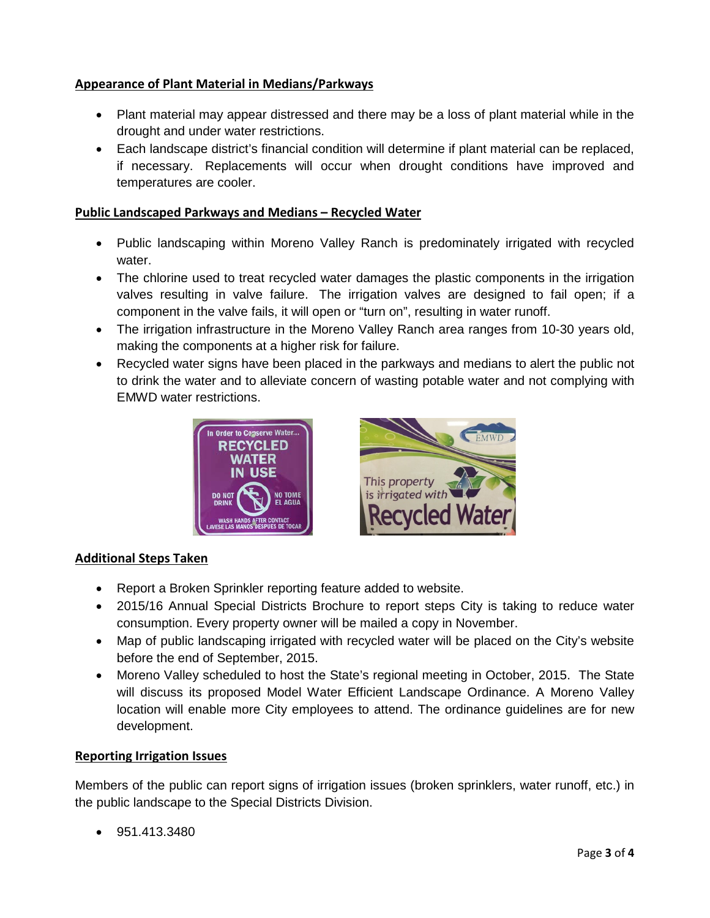## **Appearance of Plant Material in Medians/Parkways**

- Plant material may appear distressed and there may be a loss of plant material while in the drought and under water restrictions.
- Each landscape district's financial condition will determine if plant material can be replaced, if necessary. Replacements will occur when drought conditions have improved and temperatures are cooler.

## **Public Landscaped Parkways and Medians – Recycled Water**

- Public landscaping within Moreno Valley Ranch is predominately irrigated with recycled water.
- The chlorine used to treat recycled water damages the plastic components in the irrigation valves resulting in valve failure. The irrigation valves are designed to fail open; if a component in the valve fails, it will open or "turn on", resulting in water runoff.
- The irrigation infrastructure in the Moreno Valley Ranch area ranges from 10-30 years old, making the components at a higher risk for failure.
- Recycled water signs have been placed in the parkways and medians to alert the public not to drink the water and to alleviate concern of wasting potable water and not complying with EMWD water restrictions.





# **Additional Steps Taken**

- Report a Broken Sprinkler reporting feature added to website.
- 2015/16 Annual Special Districts Brochure to report steps City is taking to reduce water consumption. Every property owner will be mailed a copy in November.
- Map of public landscaping irrigated with recycled water will be placed on the City's website before the end of September, 2015.
- Moreno Valley scheduled to host the State's regional meeting in October, 2015. The State will discuss its proposed Model Water Efficient Landscape Ordinance. A Moreno Valley location will enable more City employees to attend. The ordinance guidelines are for new development.

## **Reporting Irrigation Issues**

Members of the public can report signs of irrigation issues (broken sprinklers, water runoff, etc.) in the public landscape to the Special Districts Division.

• 951.413.3480